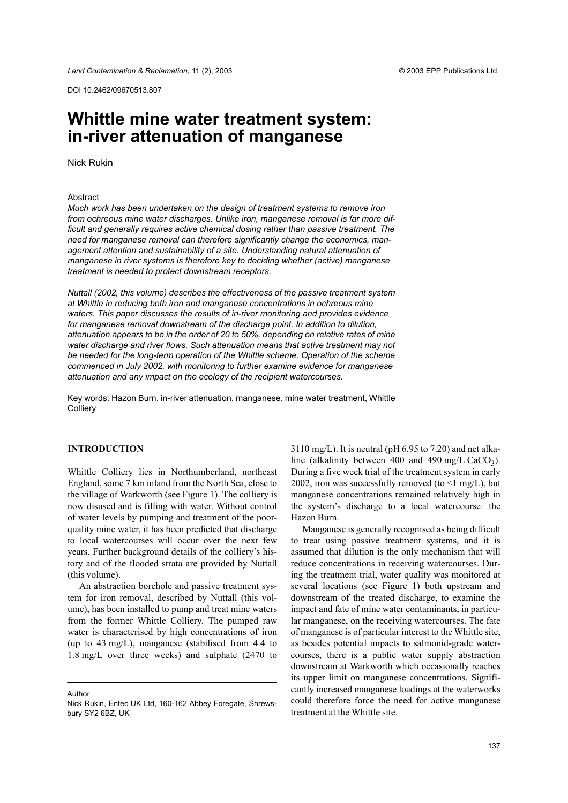© 2003 FPP Publications I td

DOI 10.2462/09670513.807

# Whittle mine water treatment system: in-river attenuation of manganese

**Nick Rukin** 

## Abstract

Much work has been undertaken on the design of treatment systems to remove iron from ochreous mine water discharges. Unlike iron, manganese removal is far more difficult and generally requires active chemical dosing rather than passive treatment. The need for manganese removal can therefore significantly change the economics, management attention and sustainability of a site. Understanding natural attenuation of manganese in river systems is therefore key to deciding whether (active) manganese treatment is needed to protect downstream receptors.

Nuttall (2002, this volume) describes the effectiveness of the passive treatment system at Whittle in reducing both iron and manganese concentrations in ochreous mine waters. This paper discusses the results of in-river monitoring and provides evidence for manganese removal downstream of the discharge point. In addition to dilution, attenuation appears to be in the order of 20 to 50%, depending on relative rates of mine water discharge and river flows. Such attenuation means that active treatment may not be needed for the long-term operation of the Whittle scheme. Operation of the scheme commenced in July 2002, with monitoring to further examine evidence for manganese attenuation and any impact on the ecology of the recipient watercourses.

Key words: Hazon Burn, in-river attenuation, manganese, mine water treatment, Whittle Colliery

# **INTRODUCTION**

Whittle Colliery lies in Northumberland, northeast England, some 7 km inland from the North Sea, close to the village of Warkworth (see Figure 1). The colliery is now disused and is filling with water. Without control of water levels by pumping and treatment of the poorquality mine water, it has been predicted that discharge to local watercourses will occur over the next few years. Further background details of the colliery's history and of the flooded strata are provided by Nuttall (this volume).

An abstraction borehole and passive treatment system for iron removal, described by Nuttall (this volume), has been installed to pump and treat mine waters from the former Whittle Colliery. The pumped raw water is characterised by high concentrations of iron (up to  $43 \text{ mg/L}$ ), manganese (stabilised from  $4.4$  to  $1.8 \text{ mg/L}$  over three weeks) and sulphate  $(2470 \text{ to }$ 

Author

 $3110 \text{ mg/L}$ ). It is neutral (pH 6.95 to 7.20) and net alkaline (alkalinity between 400 and 490 mg/L CaCO<sub>3</sub>). During a five week trial of the treatment system in early 2002, iron was successfully removed (to  $\leq 1$  mg/L), but manganese concentrations remained relatively high in the system's discharge to a local watercourse: the Hazon Burn.

Manganese is generally recognised as being difficult to treat using passive treatment systems, and it is assumed that dilution is the only mechanism that will reduce concentrations in receiving watercourses. During the treatment trial, water quality was monitored at several locations (see Figure 1) both upstream and downstream of the treated discharge, to examine the impact and fate of mine water contaminants, in particular manganese, on the receiving watercourses. The fate of manganese is of particular interest to the Whittle site. as besides potential impacts to salmonid-grade watercourses, there is a public water supply abstraction downstream at Warkworth which occasionally reaches its upper limit on manganese concentrations. Significantly increased manganese loadings at the waterworks could therefore force the need for active manganese treatment at the Whittle site.

Nick Rukin, Entec UK Ltd, 160-162 Abbey Foregate, Shrewsbury SY2 6BZ, UK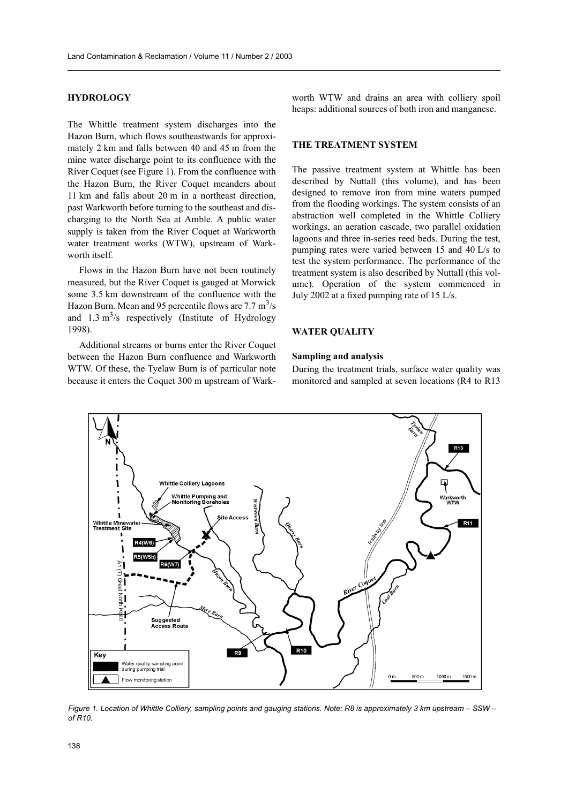# **HYDROLOGY**

The Whittle treatment system discharges into the Hazon Burn, which flows southeastwards for approximately 2 km and falls between 40 and 45 m from the mine water discharge point to its confluence with the River Coquet (see Figure 1). From the confluence with the Hazon Burn, the River Coquet meanders about 11 km and falls about 20 m in a northeast direction. past Warkworth before turning to the southeast and discharging to the North Sea at Amble. A public water supply is taken from the River Coquet at Warkworth water treatment works (WTW), upstream of Warkworth itself.

Flows in the Hazon Burn have not been routinely measured, but the River Coquet is gauged at Morwick some 3.5 km downstream of the confluence with the Hazon Burn. Mean and 95 percentile flows are  $7.7 \text{ m}^3/\text{s}$ and  $1.3 \text{ m}^3/\text{s}$  respectively (Institute of Hydrology 1998).

Additional streams or burns enter the River Coquet between the Hazon Burn confluence and Warkworth WTW. Of these, the Tyelaw Burn is of particular note because it enters the Coquet 300 m upstream of Warkworth WTW and drains an area with colliery spoil heaps: additional sources of both iron and manganese.

## THE TREATMENT SYSTEM

The passive treatment system at Whittle has been described by Nuttall (this volume), and has been designed to remove iron from mine waters pumped from the flooding workings. The system consists of an abstraction well completed in the Whittle Colliery workings, an aeration cascade, two parallel oxidation lagoons and three in-series reed beds. During the test, pumping rates were varied between 15 and 40 L/s to test the system performance. The performance of the treatment system is also described by Nuttall (this volume). Operation of the system commenced in July 2002 at a fixed pumping rate of 15 L/s.

## **WATER OUALITY**

#### **Sampling and analysis**

During the treatment trials, surface water quality was monitored and sampled at seven locations (R4 to R13)



Figure 1. Location of Whittle Colliery, sampling points and gauging stations. Note: R8 is approximately 3 km upstream - SSW of  $R10$ .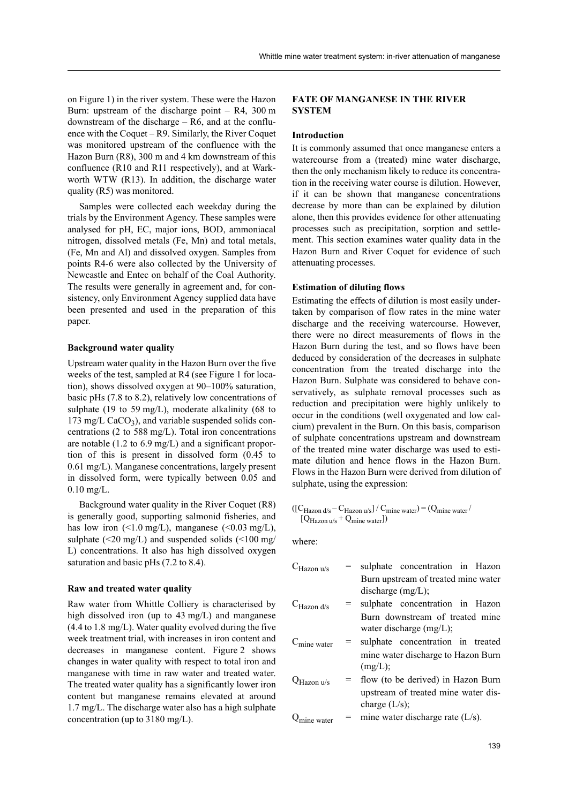on Figure 1) in the river system. These were the Hazon Burn: upstream of the discharge point  $-$  R4, 300 m downstream of the discharge  $-$  R6, and at the confluence with the Coquet  $-$  R9. Similarly, the River Coquet was monitored upstream of the confluence with the Hazon Burn (R8), 300 m and 4 km downstream of this confluence (R10 and R11 respectively), and at Warkworth WTW (R13). In addition, the discharge water quality (R5) was monitored.

Samples were collected each weekday during the trials by the Environment Agency. These samples were analysed for pH, EC, major ions, BOD, ammoniacal nitrogen, dissolved metals (Fe, Mn) and total metals, (Fe, Mn and Al) and dissolved oxygen. Samples from points R4-6 were also collected by the University of Newcastle and Entec on behalf of the Coal Authority. The results were generally in agreement and, for consistency, only Environment Agency supplied data have been presented and used in the preparation of this paper.

## **Background water quality**

Upstream water quality in the Hazon Burn over the five weeks of the test, sampled at R4 (see Figure 1 for location), shows dissolved oxygen at 90–100% saturation, basic pHs  $(7.8 \text{ to } 8.2)$ , relatively low concentrations of sulphate (19 to 59 mg/L), moderate alkalinity (68 to 173 mg/L  $CaCO<sub>3</sub>$ ), and variable suspended solids concentrations (2 to 588 mg/L). Total iron concentrations are notable  $(1.2 \text{ to } 6.9 \text{ mg/L})$  and a significant proportion of this is present in dissolved form (0.45 to 0.61 mg/L). Manganese concentrations, largely present in dissolved form, were typically between 0.05 and  $0.10$  mg/L.

Background water quality in the River Coquet (R8) is generally good, supporting salmonid fisheries, and has low iron  $(\leq 1.0 \text{ mg/L})$ , manganese  $(\leq 0.03 \text{ mg/L})$ , sulphate  $(\leq 20 \text{ mg/L})$  and suspended solids  $(\leq 100 \text{ mg/m})$ L) concentrations. It also has high dissolved oxygen saturation and basic pHs  $(7.2 \text{ to } 8.4)$ .

## Raw and treated water quality

Raw water from Whittle Colliery is characterised by high dissolved iron (up to  $43 \text{ mg/L}$ ) and manganese (4.4 to 1.8 mg/L). Water quality evolved during the five week treatment trial, with increases in iron content and decreases in manganese content. Figure 2 shows changes in water quality with respect to total iron and manganese with time in raw water and treated water. The treated water quality has a significantly lower iron content but manganese remains elevated at around 1.7 mg/L. The discharge water also has a high sulphate concentration (up to  $3180 \text{ mg/L}$ ).

# **FATE OF MANGANESE IN THE RIVER SYSTEM**

## **Introduction**

It is commonly assumed that once manganese enters a watercourse from a (treated) mine water discharge, then the only mechanism likely to reduce its concentration in the receiving water course is dilution. However, if it can be shown that manganese concentrations decrease by more than can be explained by dilution alone, then this provides evidence for other attenuating processes such as precipitation, sorption and settlement. This section examines water quality data in the Hazon Burn and River Coquet for evidence of such attenuating processes.

## **Estimation of diluting flows**

Estimating the effects of dilution is most easily undertaken by comparison of flow rates in the mine water discharge and the receiving watercourse. However, there were no direct measurements of flows in the Hazon Burn during the test, and so flows have been deduced by consideration of the decreases in sulphate concentration from the treated discharge into the Hazon Burn. Sulphate was considered to behave conservatively, as sulphate removal processes such as reduction and precipitation were highly unlikely to occur in the conditions (well oxygenated and low calcium) prevalent in the Burn. On this basis, comparison of sulphate concentrations upstream and downstream of the treated mine water discharge was used to estimate dilution and hence flows in the Hazon Burn. Flows in the Hazon Burn were derived from dilution of sulphate, using the expression:

$$
\begin{array}{c}\n\text{([C_{Hazon d/s} - C_{Hazon u/s}] / C_{mine water}) = (Q_{mine water}/Q_{Hazon u/s} + Q_{mine water})\n\end{array}
$$

where:

| $C_{\text{Hazon } u/s}$ |     | sulphate concentration in Hazon                               |
|-------------------------|-----|---------------------------------------------------------------|
|                         |     | Burn upstream of treated mine water                           |
|                         |     | discharge $(mg/L)$ ;                                          |
| $C_{\text{Hazon d/s}}$  | $=$ | sulphate concentration in Hazon                               |
|                         |     | Burn downstream of treated mine<br>water discharge $(mg/L)$ ; |
| $C_{\text{mine water}}$ | $=$ | sulphate concentration in treated                             |
|                         |     | mine water discharge to Hazon Burn<br>$(mg/L)$ ;              |
| Hazon u/s               |     | = flow (to be derived) in Hazon Burn                          |
|                         |     | upstream of treated mine water dis-<br>charge $(L/s)$ ;       |
| ine water               |     | $=$ mine water discharge rate (L/s).                          |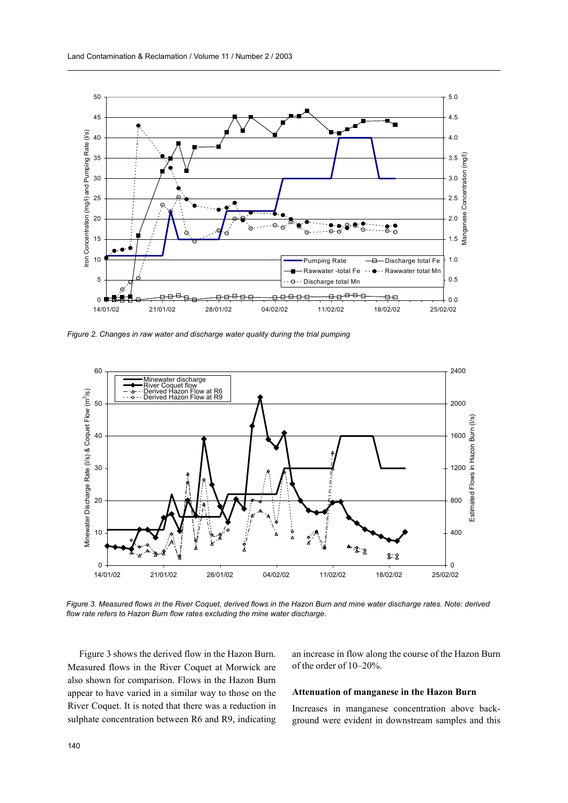

Figure 2. Changes in raw water and discharge water quality during the trial pumping



Figure 3. Measured flows in the River Coquet, derived flows in the Hazon Burn and mine water discharge rates. Note: derived flow rate refers to Hazon Burn flow rates excluding the mine water discharge.

Figure 3 shows the derived flow in the Hazon Burn. Measured flows in the River Coquet at Morwick are also shown for comparison. Flows in the Hazon Burn appear to have varied in a similar way to those on the River Coquet. It is noted that there was a reduction in sulphate concentration between R6 and R9, indicating

an increase in flow along the course of the Hazon Burn of the order of 10-20%.

## Attenuation of manganese in the Hazon Burn

Increases in manganese concentration above background were evident in downstream samples and this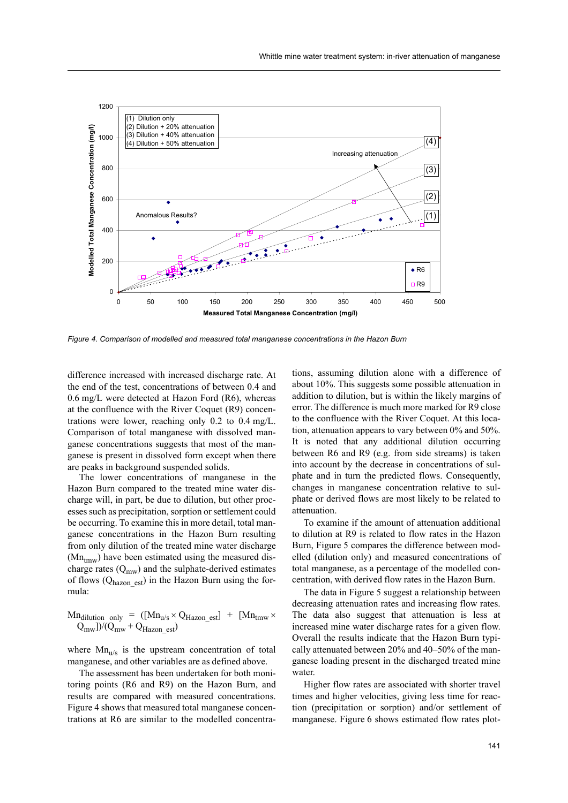

Figure 4. Comparison of modelled and measured total manganese concentrations in the Hazon Burn

difference increased with increased discharge rate. At the end of the test, concentrations of between 0.4 and 0.6 mg/L were detected at Hazon Ford (R6), whereas at the confluence with the River Coquet (R9) concentrations were lower, reaching only  $0.2$  to  $0.4$  mg/L. Comparison of total manganese with dissolved manganese concentrations suggests that most of the manganese is present in dissolved form except when there are peaks in background suspended solids.

The lower concentrations of manganese in the Hazon Burn compared to the treated mine water discharge will, in part, be due to dilution, but other processes such as precipitation, sorption or settlement could be occurring. To examine this in more detail, total manganese concentrations in the Hazon Burn resulting from only dilution of the treated mine water discharge  $(Mn_{\text{truv}})$  have been estimated using the measured discharge rates  $(Q_{mw})$  and the sulphate-derived estimates of flows  $(Q_{hazon est})$  in the Hazon Burn using the formula:

$$
Mn_{dilution only} = ([Mn_{u/s} \times Q_{Hazon\_est}] + [Mn_{tmw} \times Q_{mw}]/(Q_{mw} + Q_{Hazon\_est})
$$

where  $Mn_{u/s}$  is the upstream concentration of total manganese, and other variables are as defined above.

The assessment has been undertaken for both monitoring points (R6 and R9) on the Hazon Burn, and results are compared with measured concentrations. Figure 4 shows that measured total manganese concentrations at R6 are similar to the modelled concentrations, assuming dilution alone with a difference of about 10%. This suggests some possible attenuation in addition to dilution, but is within the likely margins of error. The difference is much more marked for R9 close to the confluence with the River Coquet. At this location, attenuation appears to vary between  $0\%$  and  $50\%$ . It is noted that any additional dilution occurring between R6 and R9 (e.g. from side streams) is taken into account by the decrease in concentrations of sulphate and in turn the predicted flows. Consequently, changes in manganese concentration relative to sulphate or derived flows are most likely to be related to attenuation

To examine if the amount of attenuation additional to dilution at R9 is related to flow rates in the Hazon Burn, Figure 5 compares the difference between modelled (dilution only) and measured concentrations of total manganese, as a percentage of the modelled concentration, with derived flow rates in the Hazon Burn.

The data in Figure 5 suggest a relationship between decreasing attenuation rates and increasing flow rates. The data also suggest that attenuation is less at increased mine water discharge rates for a given flow. Overall the results indicate that the Hazon Burn typically attenuated between 20% and 40–50% of the manganese loading present in the discharged treated mine water.

Higher flow rates are associated with shorter travel times and higher velocities, giving less time for reaction (precipitation or sorption) and/or settlement of manganese. Figure 6 shows estimated flow rates plot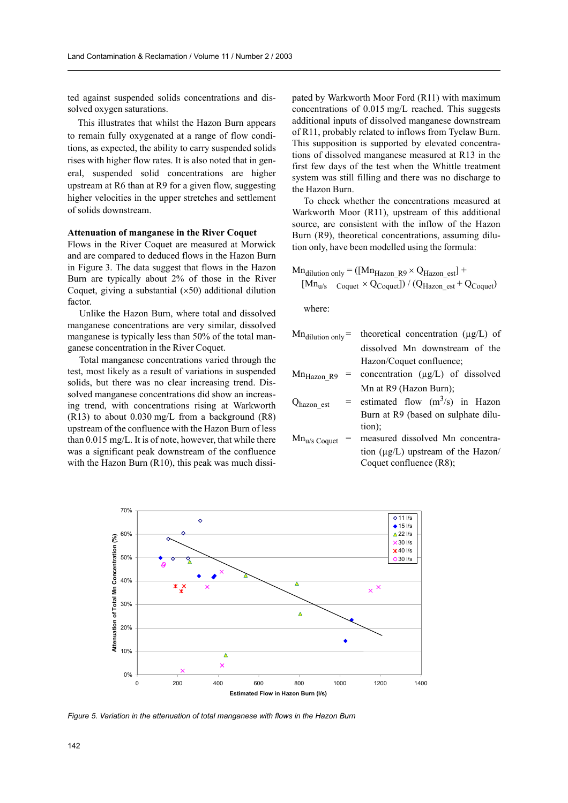ted against suspended solids concentrations and dissolved oxygen saturations.

This illustrates that whilst the Hazon Burn appears to remain fully oxygenated at a range of flow conditions, as expected, the ability to carry suspended solids rises with higher flow rates. It is also noted that in general, suspended solid concentrations are higher upstream at R6 than at R9 for a given flow, suggesting higher velocities in the upper stretches and settlement of solids downstream.

#### **Attenuation of manganese in the River Coquet**

Flows in the River Coquet are measured at Morwick and are compared to deduced flows in the Hazon Burn in Figure 3. The data suggest that flows in the Hazon Burn are typically about 2% of those in the River Coquet, giving a substantial  $(x50)$  additional dilution factor.

Unlike the Hazon Burn, where total and dissolved manganese concentrations are very similar, dissolved manganese is typically less than 50% of the total manganese concentration in the River Coquet.

Total manganese concentrations varied through the test, most likely as a result of variations in suspended solids, but there was no clear increasing trend. Dissolved manganese concentrations did show an increasing trend, with concentrations rising at Warkworth  $(R13)$  to about 0.030 mg/L from a background  $(R8)$ upstream of the confluence with the Hazon Burn of less than 0.015 mg/L. It is of note, however, that while there was a significant peak downstream of the confluence with the Hazon Burn (R10), this peak was much dissipated by Warkworth Moor Ford (R11) with maximum concentrations of 0.015 mg/L reached. This suggests additional inputs of dissolved manganese downstream of R11, probably related to inflows from Tyelaw Burn. This supposition is supported by elevated concentrations of dissolved manganese measured at R13 in the first few days of the test when the Whittle treatment system was still filling and there was no discharge to the Hazon Burn.

To check whether the concentrations measured at Warkworth Moor (R11), upstream of this additional source, are consistent with the inflow of the Hazon Burn (R9), theoretical concentrations, assuming dilution only, have been modelled using the formula:

$$
Mn_{dilution only} = ([Mn_{Hazon\_R9} \times Q_{Hazon\_est}] +
$$
  
\n
$$
[Mn_{u/s} \quad \text{Couet} \times Q_{Couuet}]) / (Q_{Hazon\_est} + Q_{Couuet})
$$

where<sup>-</sup>

| $Mn_{\text{dilution only}} =$ | theoretical concentration $(\mu g/L)$ of        |
|-------------------------------|-------------------------------------------------|
|                               | dissolved Mn downstream of the                  |
|                               | Hazon/Coquet confluence;                        |
| Mn <sub>Hazon_</sub> R9<br>=  | concentration $(\mu g/L)$ of dissolved          |
|                               | Mn at R9 (Hazon Burn);                          |
| Q <sub>hazon_est</sub>        | = estimated flow $(m^3/s)$ in Hazon             |
|                               | Burn at R9 (based on sulphate dilu-             |
|                               | tion);                                          |
| Mn <sub>u/s Coquet</sub>      | measured dissolved Mn concentra-                |
|                               | tion $(\mu \varrho / L)$ upstream of the Hazon/ |

Coquet confluence (R8);



Figure 5. Variation in the attenuation of total manganese with flows in the Hazon Burn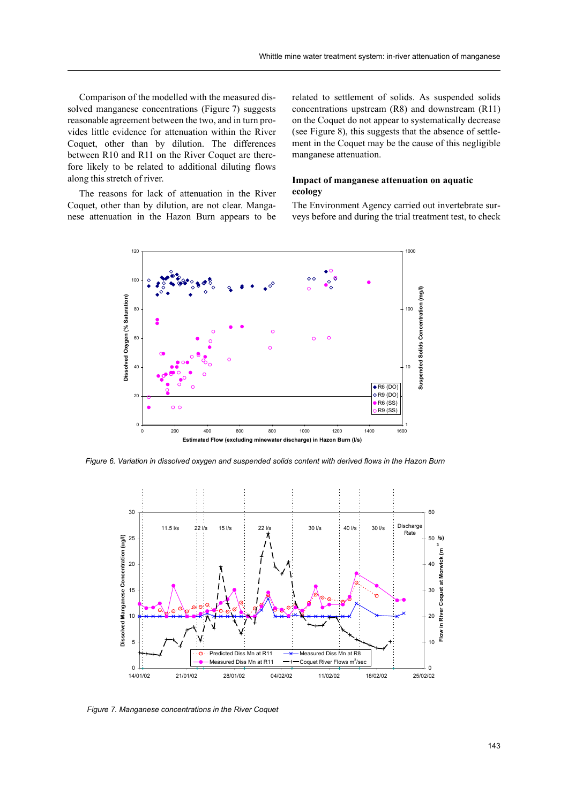Comparison of the modelled with the measured dissolved manganese concentrations (Figure 7) suggests reasonable agreement between the two, and in turn provides little evidence for attenuation within the River Coquet, other than by dilution. The differences between R10 and R11 on the River Coquet are therefore likely to be related to additional diluting flows along this stretch of river.

The reasons for lack of attenuation in the River Coquet, other than by dilution, are not clear. Manganese attenuation in the Hazon Burn appears to be related to settlement of solids. As suspended solids concentrations upstream (R8) and downstream (R11) on the Coquet do not appear to systematically decrease (see Figure 8), this suggests that the absence of settlement in the Coquet may be the cause of this negligible manganese attenuation.

# Impact of manganese attenuation on aquatic ecology

The Environment Agency carried out invertebrate surveys before and during the trial treatment test, to check



Figure 6. Variation in dissolved oxygen and suspended solids content with derived flows in the Hazon Burn



Figure 7. Manganese concentrations in the River Coquet